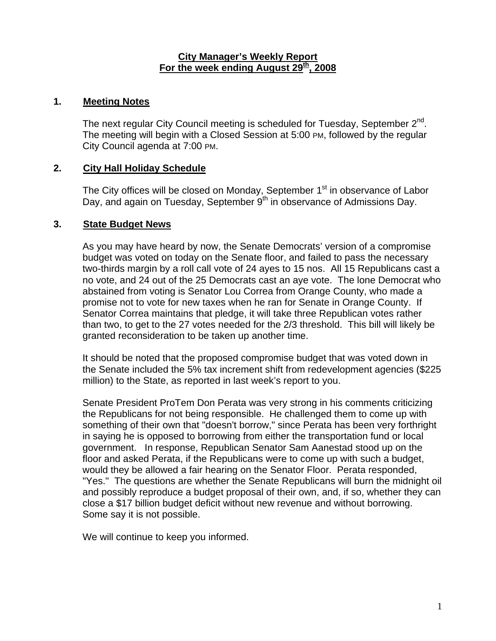#### **City Manager's Weekly Report** For the week ending August 29<sup>th</sup>, 2008

## **1. Meeting Notes**

The next regular City Council meeting is scheduled for Tuesday, September  $2^{nd}$ . The meeting will begin with a Closed Session at 5:00 PM, followed by the regular City Council agenda at 7:00 PM.

# **2. City Hall Holiday Schedule**

The City offices will be closed on Monday, September 1<sup>st</sup> in observance of Labor Day, and again on Tuesday, September  $9<sup>th</sup>$  in observance of Admissions Day.

## **3. State Budget News**

As you may have heard by now, the Senate Democrats' version of a compromise budget was voted on today on the Senate floor, and failed to pass the necessary two-thirds margin by a roll call vote of 24 ayes to 15 nos. All 15 Republicans cast a no vote, and 24 out of the 25 Democrats cast an aye vote. The lone Democrat who abstained from voting is Senator Lou Correa from Orange County, who made a promise not to vote for new taxes when he ran for Senate in Orange County. If Senator Correa maintains that pledge, it will take three Republican votes rather than two, to get to the 27 votes needed for the 2/3 threshold. This bill will likely be granted reconsideration to be taken up another time.

It should be noted that the proposed compromise budget that was voted down in the Senate included the 5% tax increment shift from redevelopment agencies (\$225 million) to the State, as reported in last week's report to you.

Senate President ProTem Don Perata was very strong in his comments criticizing the Republicans for not being responsible. He challenged them to come up with something of their own that "doesn't borrow," since Perata has been very forthright in saying he is opposed to borrowing from either the transportation fund or local government. In response, Republican Senator Sam Aanestad stood up on the floor and asked Perata, if the Republicans were to come up with such a budget, would they be allowed a fair hearing on the Senator Floor. Perata responded, "Yes." The questions are whether the Senate Republicans will burn the midnight oil and possibly reproduce a budget proposal of their own, and, if so, whether they can close a \$17 billion budget deficit without new revenue and without borrowing. Some say it is not possible.

We will continue to keep you informed.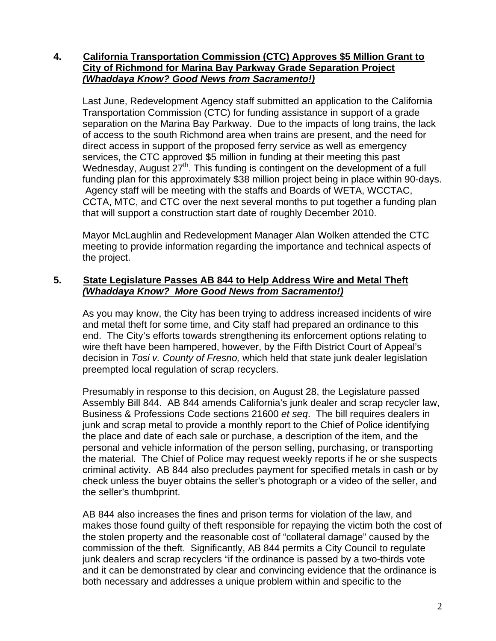# **4. California Transportation Commission (CTC) Approves \$5 Million Grant to City of Richmond for Marina Bay Parkway Grade Separation Project**  *(Whaddaya Know? Good News from Sacramento!)*

Last June, Redevelopment Agency staff submitted an application to the California Transportation Commission (CTC) for funding assistance in support of a grade separation on the Marina Bay Parkway. Due to the impacts of long trains, the lack of access to the south Richmond area when trains are present, and the need for direct access in support of the proposed ferry service as well as emergency services, the CTC approved \$5 million in funding at their meeting this past Wednesday, August 27<sup>th</sup>. This funding is contingent on the development of a full funding plan for this approximately \$38 million project being in place within 90-days. Agency staff will be meeting with the staffs and Boards of WETA, WCCTAC, CCTA, MTC, and CTC over the next several months to put together a funding plan that will support a construction start date of roughly December 2010.

Mayor McLaughlin and Redevelopment Manager Alan Wolken attended the CTC meeting to provide information regarding the importance and technical aspects of the project.

## **5. State Legislature Passes AB 844 to Help Address Wire and Metal Theft**  *(Whaddaya Know? More Good News from Sacramento!)*

As you may know, the City has been trying to address increased incidents of wire and metal theft for some time, and City staff had prepared an ordinance to this end. The City's efforts towards strengthening its enforcement options relating to wire theft have been hampered, however, by the Fifth District Court of Appeal's decision in *Tosi v. County of Fresno,* which held that state junk dealer legislation preempted local regulation of scrap recyclers.

Presumably in response to this decision, on August 28, the Legislature passed Assembly Bill 844. AB 844 amends California's junk dealer and scrap recycler law, Business & Professions Code sections 21600 *et seq*. The bill requires dealers in junk and scrap metal to provide a monthly report to the Chief of Police identifying the place and date of each sale or purchase, a description of the item, and the personal and vehicle information of the person selling, purchasing, or transporting the material. The Chief of Police may request weekly reports if he or she suspects criminal activity. AB 844 also precludes payment for specified metals in cash or by check unless the buyer obtains the seller's photograph or a video of the seller, and the seller's thumbprint.

AB 844 also increases the fines and prison terms for violation of the law, and makes those found guilty of theft responsible for repaying the victim both the cost of the stolen property and the reasonable cost of "collateral damage" caused by the commission of the theft. Significantly, AB 844 permits a City Council to regulate junk dealers and scrap recyclers "if the ordinance is passed by a two-thirds vote and it can be demonstrated by clear and convincing evidence that the ordinance is both necessary and addresses a unique problem within and specific to the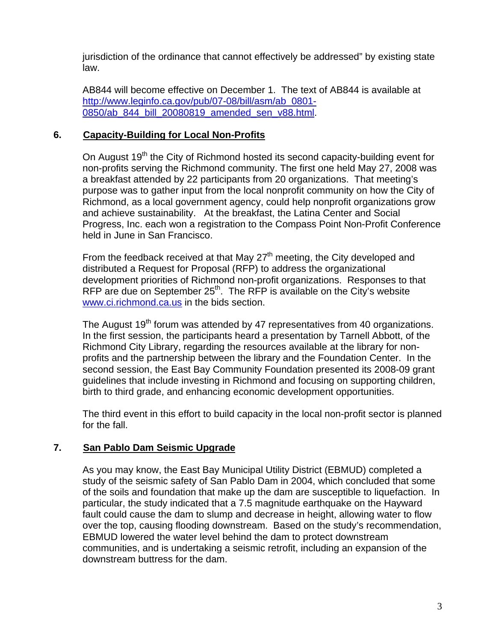jurisdiction of the ordinance that cannot effectively be addressed" by existing state law.

AB844 will become effective on December 1. The text of AB844 is available at [http://www.leginfo.ca.gov/pub/07-08/bill/asm/ab\\_0801-](http://www.leginfo.ca.gov/pub/07-08/bill/asm/ab_0801-0850/ab_844_bill_20080819_amended_sen_v88.html) 0850/ab 844 bill 20080819 amended sen v88.html.

# **6. Capacity-Building for Local Non-Profits**

On August 19<sup>th</sup> the City of Richmond hosted its second capacity-building event for non-profits serving the Richmond community. The first one held May 27, 2008 was a breakfast attended by 22 participants from 20 organizations. That meeting's purpose was to gather input from the local nonprofit community on how the City of Richmond, as a local government agency, could help nonprofit organizations grow and achieve sustainability. At the breakfast, the Latina Center and Social Progress, Inc. each won a registration to the Compass Point Non-Profit Conference held in June in San Francisco.

From the feedback received at that May  $27<sup>th</sup>$  meeting, the City developed and distributed a Request for Proposal (RFP) to address the organizational development priorities of Richmond non-profit organizations. Responses to that RFP are due on September  $25<sup>th</sup>$ . The RFP is available on the City's website [www.ci.richmond.ca.us](http://www.ci.richmond.ca.us/) in the bids section.

The August 19<sup>th</sup> forum was attended by 47 representatives from 40 organizations. In the first session, the participants heard a presentation by Tarnell Abbott, of the Richmond City Library, regarding the resources available at the library for nonprofits and the partnership between the library and the Foundation Center. In the second session, the East Bay Community Foundation presented its 2008-09 grant guidelines that include investing in Richmond and focusing on supporting children, birth to third grade, and enhancing economic development opportunities.

The third event in this effort to build capacity in the local non-profit sector is planned for the fall.

# **7. San Pablo Dam Seismic Upgrade**

As you may know, the East Bay Municipal Utility District (EBMUD) completed a study of the seismic safety of San Pablo Dam in 2004, which concluded that some of the soils and foundation that make up the dam are susceptible to liquefaction. In particular, the study indicated that a 7.5 magnitude earthquake on the Hayward fault could cause the dam to slump and decrease in height, allowing water to flow over the top, causing flooding downstream. Based on the study's recommendation, EBMUD lowered the water level behind the dam to protect downstream communities, and is undertaking a seismic retrofit, including an expansion of the downstream buttress for the dam.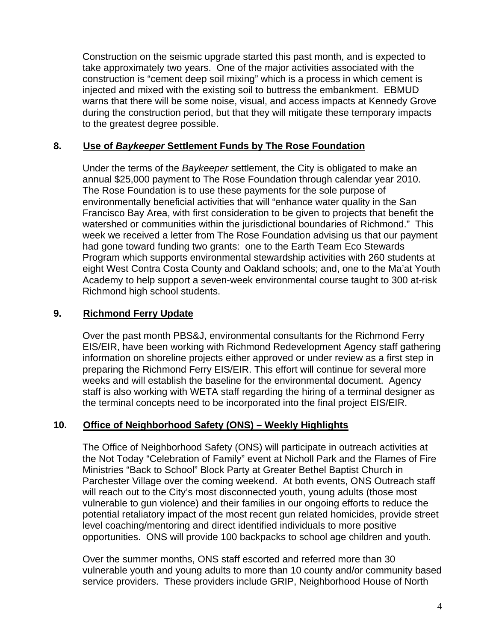Construction on the seismic upgrade started this past month, and is expected to take approximately two years. One of the major activities associated with the construction is "cement deep soil mixing" which is a process in which cement is injected and mixed with the existing soil to buttress the embankment. EBMUD warns that there will be some noise, visual, and access impacts at Kennedy Grove during the construction period, but that they will mitigate these temporary impacts to the greatest degree possible.

# **8. Use of** *Baykeeper* **Settlement Funds by The Rose Foundation**

Under the terms of the *Baykeeper* settlement, the City is obligated to make an annual \$25,000 payment to The Rose Foundation through calendar year 2010. The Rose Foundation is to use these payments for the sole purpose of environmentally beneficial activities that will "enhance water quality in the San Francisco Bay Area, with first consideration to be given to projects that benefit the watershed or communities within the jurisdictional boundaries of Richmond." This week we received a letter from The Rose Foundation advising us that our payment had gone toward funding two grants: one to the Earth Team Eco Stewards Program which supports environmental stewardship activities with 260 students at eight West Contra Costa County and Oakland schools; and, one to the Ma'at Youth Academy to help support a seven-week environmental course taught to 300 at-risk Richmond high school students.

# **9. Richmond Ferry Update**

Over the past month PBS&J, environmental consultants for the Richmond Ferry EIS/EIR, have been working with Richmond Redevelopment Agency staff gathering information on shoreline projects either approved or under review as a first step in preparing the Richmond Ferry EIS/EIR. This effort will continue for several more weeks and will establish the baseline for the environmental document. Agency staff is also working with WETA staff regarding the hiring of a terminal designer as the terminal concepts need to be incorporated into the final project EIS/EIR.

# **10. Office of Neighborhood Safety (ONS) – Weekly Highlights**

The Office of Neighborhood Safety (ONS) will participate in outreach activities at the Not Today "Celebration of Family" event at Nicholl Park and the Flames of Fire Ministries "Back to School" Block Party at Greater Bethel Baptist Church in Parchester Village over the coming weekend. At both events, ONS Outreach staff will reach out to the City's most disconnected youth, young adults (those most vulnerable to gun violence) and their families in our ongoing efforts to reduce the potential retaliatory impact of the most recent gun related homicides, provide street level coaching/mentoring and direct identified individuals to more positive opportunities. ONS will provide 100 backpacks to school age children and youth.

Over the summer months, ONS staff escorted and referred more than 30 vulnerable youth and young adults to more than 10 county and/or community based service providers. These providers include GRIP, Neighborhood House of North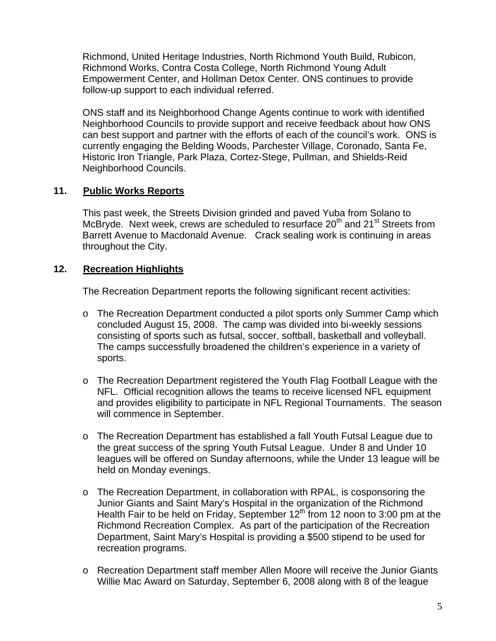Richmond, United Heritage Industries, North Richmond Youth Build, Rubicon, Richmond Works, Contra Costa College, North Richmond Young Adult Empowerment Center, and Hollman Detox Center. ONS continues to provide follow-up support to each individual referred.

ONS staff and its Neighborhood Change Agents continue to work with identified Neighborhood Councils to provide support and receive feedback about how ONS can best support and partner with the efforts of each of the council's work. ONS is currently engaging the Belding Woods, Parchester Village, Coronado, Santa Fe, Historic Iron Triangle, Park Plaza, Cortez-Stege, Pullman, and Shields-Reid Neighborhood Councils.

## **11. Public Works Reports**

This past week, the Streets Division grinded and paved Yuba from Solano to McBryde. Next week, crews are scheduled to resurface  $20<sup>th</sup>$  and  $21<sup>st</sup>$  Streets from Barrett Avenue to Macdonald Avenue. Crack sealing work is continuing in areas throughout the City.

# **12. Recreation Highlights**

The Recreation Department reports the following significant recent activities:

- o The Recreation Department conducted a pilot sports only Summer Camp which concluded August 15, 2008. The camp was divided into bi-weekly sessions consisting of sports such as futsal, soccer, softball, basketball and volleyball. The camps successfully broadened the children's experience in a variety of sports.
- o The Recreation Department registered the Youth Flag Football League with the NFL. Official recognition allows the teams to receive licensed NFL equipment and provides eligibility to participate in NFL Regional Tournaments. The season will commence in September.
- o The Recreation Department has established a fall Youth Futsal League due to the great success of the spring Youth Futsal League. Under 8 and Under 10 leagues will be offered on Sunday afternoons, while the Under 13 league will be held on Monday evenings.
- o The Recreation Department, in collaboration with RPAL, is cosponsoring the Junior Giants and Saint Mary's Hospital in the organization of the Richmond Health Fair to be held on Friday, September  $12<sup>th</sup>$  from 12 noon to 3:00 pm at the Richmond Recreation Complex. As part of the participation of the Recreation Department, Saint Mary's Hospital is providing a \$500 stipend to be used for recreation programs.
- o Recreation Department staff member Allen Moore will receive the Junior Giants Willie Mac Award on Saturday, September 6, 2008 along with 8 of the league